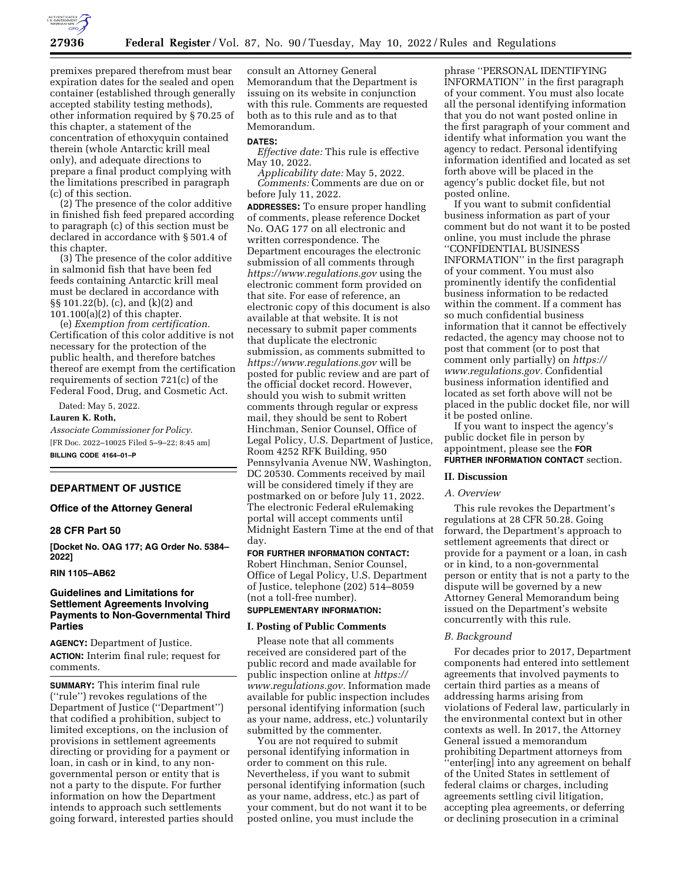

premixes prepared therefrom must bear expiration dates for the sealed and open container (established through generally accepted stability testing methods), other information required by § 70.25 of this chapter, a statement of the concentration of ethoxyquin contained therein (whole Antarctic krill meal only), and adequate directions to prepare a final product complying with the limitations prescribed in paragraph (c) of this section.

(2) The presence of the color additive in finished fish feed prepared according to paragraph (c) of this section must be declared in accordance with § 501.4 of this chapter.

(3) The presence of the color additive in salmonid fish that have been fed feeds containing Antarctic krill meal must be declared in accordance with §§ 101.22(b), (c), and (k)(2) and 101.100(a)(2) of this chapter.

(e) *Exemption from certification.*  Certification of this color additive is not necessary for the protection of the public health, and therefore batches thereof are exempt from the certification requirements of section 721(c) of the Federal Food, Drug, and Cosmetic Act.

Dated: May 5, 2022.

**Lauren K. Roth,** 

*Associate Commissioner for Policy.*  [FR Doc. 2022–10025 Filed 5–9–22; 8:45 am] **BILLING CODE 4164–01–P** 

#### **DEPARTMENT OF JUSTICE**

#### **Office of the Attorney General**

#### **28 CFR Part 50**

**[Docket No. OAG 177; AG Order No. 5384– 2022]** 

#### **RIN 1105–AB62**

## **Guidelines and Limitations for Settlement Agreements Involving Payments to Non-Governmental Third Parties**

**AGENCY:** Department of Justice. **ACTION:** Interim final rule; request for comments.

**SUMMARY:** This interim final rule (''rule'') revokes regulations of the Department of Justice (''Department'') that codified a prohibition, subject to limited exceptions, on the inclusion of provisions in settlement agreements directing or providing for a payment or loan, in cash or in kind, to any nongovernmental person or entity that is not a party to the dispute. For further information on how the Department intends to approach such settlements going forward, interested parties should

consult an Attorney General Memorandum that the Department is issuing on its website in conjunction with this rule. Comments are requested both as to this rule and as to that Memorandum.

#### **DATES:**

*Effective date:* This rule is effective May 10, 2022.

*Applicability date:* May 5, 2022. *Comments:* Comments are due on or before July 11, 2022.

**ADDRESSES:** To ensure proper handling of comments, please reference Docket No. OAG 177 on all electronic and written correspondence. The Department encourages the electronic submission of all comments through *<https://www.regulations.gov>* using the electronic comment form provided on that site. For ease of reference, an electronic copy of this document is also available at that website. It is not necessary to submit paper comments that duplicate the electronic submission, as comments submitted to *<https://www.regulations.gov>* will be posted for public review and are part of the official docket record. However, should you wish to submit written comments through regular or express mail, they should be sent to Robert Hinchman, Senior Counsel, Office of Legal Policy, U.S. Department of Justice, Room 4252 RFK Building, 950 Pennsylvania Avenue NW, Washington, DC 20530. Comments received by mail will be considered timely if they are postmarked on or before July 11, 2022. The electronic Federal eRulemaking portal will accept comments until Midnight Eastern Time at the end of that day.

# **FOR FURTHER INFORMATION CONTACT:**

Robert Hinchman, Senior Counsel, Office of Legal Policy, U.S. Department of Justice, telephone (202) 514–8059 (not a toll-free number).

# **SUPPLEMENTARY INFORMATION:**

### **I. Posting of Public Comments**

Please note that all comments received are considered part of the public record and made available for public inspection online at *[https://](https://www.regulations.gov) [www.regulations.gov.](https://www.regulations.gov)* Information made available for public inspection includes personal identifying information (such as your name, address, etc.) voluntarily submitted by the commenter.

You are not required to submit personal identifying information in order to comment on this rule. Nevertheless, if you want to submit personal identifying information (such as your name, address, etc.) as part of your comment, but do not want it to be posted online, you must include the

phrase ''PERSONAL IDENTIFYING INFORMATION'' in the first paragraph of your comment. You must also locate all the personal identifying information that you do not want posted online in the first paragraph of your comment and identify what information you want the agency to redact. Personal identifying information identified and located as set forth above will be placed in the agency's public docket file, but not posted online.

If you want to submit confidential business information as part of your comment but do not want it to be posted online, you must include the phrase ''CONFIDENTIAL BUSINESS INFORMATION'' in the first paragraph of your comment. You must also prominently identify the confidential business information to be redacted within the comment. If a comment has so much confidential business information that it cannot be effectively redacted, the agency may choose not to post that comment (or to post that comment only partially) on *[https://](https://www.regulations.gov) [www.regulations.gov.](https://www.regulations.gov)* Confidential business information identified and located as set forth above will not be placed in the public docket file, nor will it be posted online.

If you want to inspect the agency's public docket file in person by appointment, please see the **FOR FURTHER INFORMATION CONTACT** section.

### **II. Discussion**

#### *A. Overview*

This rule revokes the Department's regulations at 28 CFR 50.28. Going forward, the Department's approach to settlement agreements that direct or provide for a payment or a loan, in cash or in kind, to a non-governmental person or entity that is not a party to the dispute will be governed by a new Attorney General Memorandum being issued on the Department's website concurrently with this rule.

#### *B. Background*

For decades prior to 2017, Department components had entered into settlement agreements that involved payments to certain third parties as a means of addressing harms arising from violations of Federal law, particularly in the environmental context but in other contexts as well. In 2017, the Attorney General issued a memorandum prohibiting Department attorneys from ''enter[ing] into any agreement on behalf of the United States in settlement of federal claims or charges, including agreements settling civil litigation, accepting plea agreements, or deferring or declining prosecution in a criminal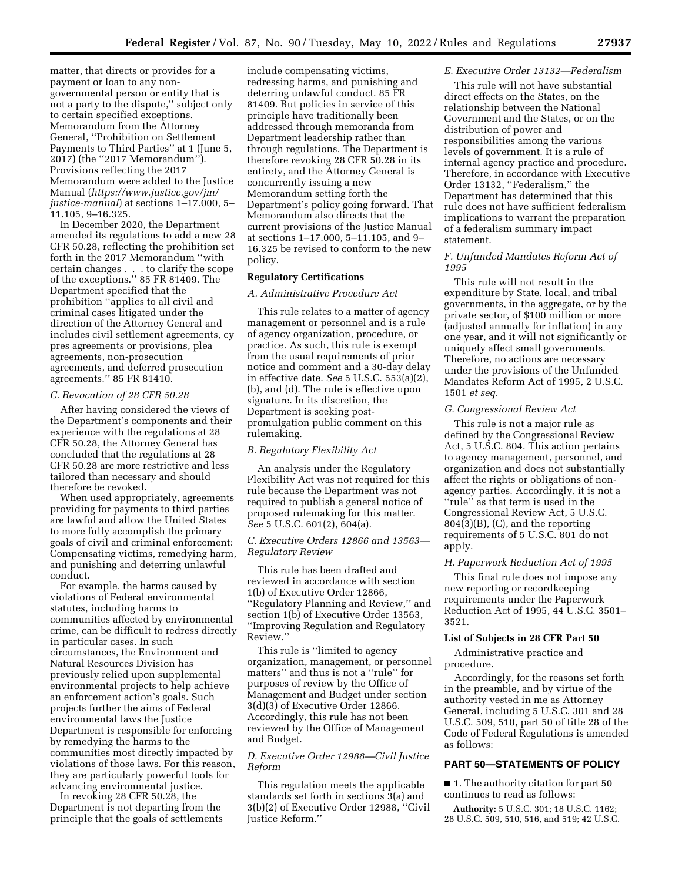matter, that directs or provides for a payment or loan to any nongovernmental person or entity that is not a party to the dispute,'' subject only to certain specified exceptions. Memorandum from the Attorney General, ''Prohibition on Settlement Payments to Third Parties'' at 1 (June 5, 2017) (the ''2017 Memorandum''). Provisions reflecting the 2017 Memorandum were added to the Justice Manual (*[https://www.justice.gov/jm/](https://www.justice.gov/jm/justice-manual) [justice-manual](https://www.justice.gov/jm/justice-manual)*) at sections 1–17.000, 5– 11.105, 9–16.325.

In December 2020, the Department amended its regulations to add a new 28 CFR 50.28, reflecting the prohibition set forth in the 2017 Memorandum ''with certain changes . . . to clarify the scope of the exceptions.'' 85 FR 81409. The Department specified that the prohibition ''applies to all civil and criminal cases litigated under the direction of the Attorney General and includes civil settlement agreements, cy pres agreements or provisions, plea agreements, non-prosecution agreements, and deferred prosecution agreements.'' 85 FR 81410.

### *C. Revocation of 28 CFR 50.28*

After having considered the views of the Department's components and their experience with the regulations at 28 CFR 50.28, the Attorney General has concluded that the regulations at 28 CFR 50.28 are more restrictive and less tailored than necessary and should therefore be revoked.

When used appropriately, agreements providing for payments to third parties are lawful and allow the United States to more fully accomplish the primary goals of civil and criminal enforcement: Compensating victims, remedying harm, and punishing and deterring unlawful conduct.

For example, the harms caused by violations of Federal environmental statutes, including harms to communities affected by environmental crime, can be difficult to redress directly in particular cases. In such circumstances, the Environment and Natural Resources Division has previously relied upon supplemental environmental projects to help achieve an enforcement action's goals. Such projects further the aims of Federal environmental laws the Justice Department is responsible for enforcing by remedying the harms to the communities most directly impacted by violations of those laws. For this reason, they are particularly powerful tools for advancing environmental justice.

In revoking 28 CFR 50.28, the Department is not departing from the principle that the goals of settlements

include compensating victims, redressing harms, and punishing and deterring unlawful conduct. 85 FR 81409. But policies in service of this principle have traditionally been addressed through memoranda from Department leadership rather than through regulations. The Department is therefore revoking 28 CFR 50.28 in its entirety, and the Attorney General is concurrently issuing a new Memorandum setting forth the Department's policy going forward. That Memorandum also directs that the current provisions of the Justice Manual at sections 1–17.000, 5–11.105, and 9– 16.325 be revised to conform to the new policy.

### **Regulatory Certifications**

### *A. Administrative Procedure Act*

This rule relates to a matter of agency management or personnel and is a rule of agency organization, procedure, or practice. As such, this rule is exempt from the usual requirements of prior notice and comment and a 30-day delay in effective date. *See* 5 U.S.C. 553(a)(2), (b), and (d). The rule is effective upon signature. In its discretion, the Department is seeking postpromulgation public comment on this rulemaking.

### *B. Regulatory Flexibility Act*

An analysis under the Regulatory Flexibility Act was not required for this rule because the Department was not required to publish a general notice of proposed rulemaking for this matter. *See* 5 U.S.C. 601(2), 604(a).

### *C. Executive Orders 12866 and 13563— Regulatory Review*

This rule has been drafted and reviewed in accordance with section 1(b) of Executive Order 12866, ''Regulatory Planning and Review,'' and section 1(b) of Executive Order 13563, ''Improving Regulation and Regulatory Review.''

This rule is ''limited to agency organization, management, or personnel matters'' and thus is not a ''rule'' for purposes of review by the Office of Management and Budget under section 3(d)(3) of Executive Order 12866. Accordingly, this rule has not been reviewed by the Office of Management and Budget.

# *D. Executive Order 12988—Civil Justice Reform*

This regulation meets the applicable standards set forth in sections 3(a) and 3(b)(2) of Executive Order 12988, ''Civil Justice Reform.''

#### *E. Executive Order 13132—Federalism*

This rule will not have substantial direct effects on the States, on the relationship between the National Government and the States, or on the distribution of power and responsibilities among the various levels of government. It is a rule of internal agency practice and procedure. Therefore, in accordance with Executive Order 13132, ''Federalism,'' the Department has determined that this rule does not have sufficient federalism implications to warrant the preparation of a federalism summary impact statement.

### *F. Unfunded Mandates Reform Act of 1995*

This rule will not result in the expenditure by State, local, and tribal governments, in the aggregate, or by the private sector, of \$100 million or more (adjusted annually for inflation) in any one year, and it will not significantly or uniquely affect small governments. Therefore, no actions are necessary under the provisions of the Unfunded Mandates Reform Act of 1995, 2 U.S.C. 1501 *et seq.* 

#### *G. Congressional Review Act*

This rule is not a major rule as defined by the Congressional Review Act, 5 U.S.C. 804. This action pertains to agency management, personnel, and organization and does not substantially affect the rights or obligations of nonagency parties. Accordingly, it is not a ''rule'' as that term is used in the Congressional Review Act, 5 U.S.C. 804(3)(B), (C), and the reporting requirements of 5 U.S.C. 801 do not apply.

### *H. Paperwork Reduction Act of 1995*

This final rule does not impose any new reporting or recordkeeping requirements under the Paperwork Reduction Act of 1995, 44 U.S.C. 3501– 3521.

# **List of Subjects in 28 CFR Part 50**

Administrative practice and procedure.

Accordingly, for the reasons set forth in the preamble, and by virtue of the authority vested in me as Attorney General, including 5 U.S.C. 301 and 28 U.S.C. 509, 510, part 50 of title 28 of the Code of Federal Regulations is amended as follows:

### **PART 50—STATEMENTS OF POLICY**

■ 1. The authority citation for part 50 continues to read as follows:

**Authority:** 5 U.S.C. 301; 18 U.S.C. 1162; 28 U.S.C. 509, 510, 516, and 519; 42 U.S.C.